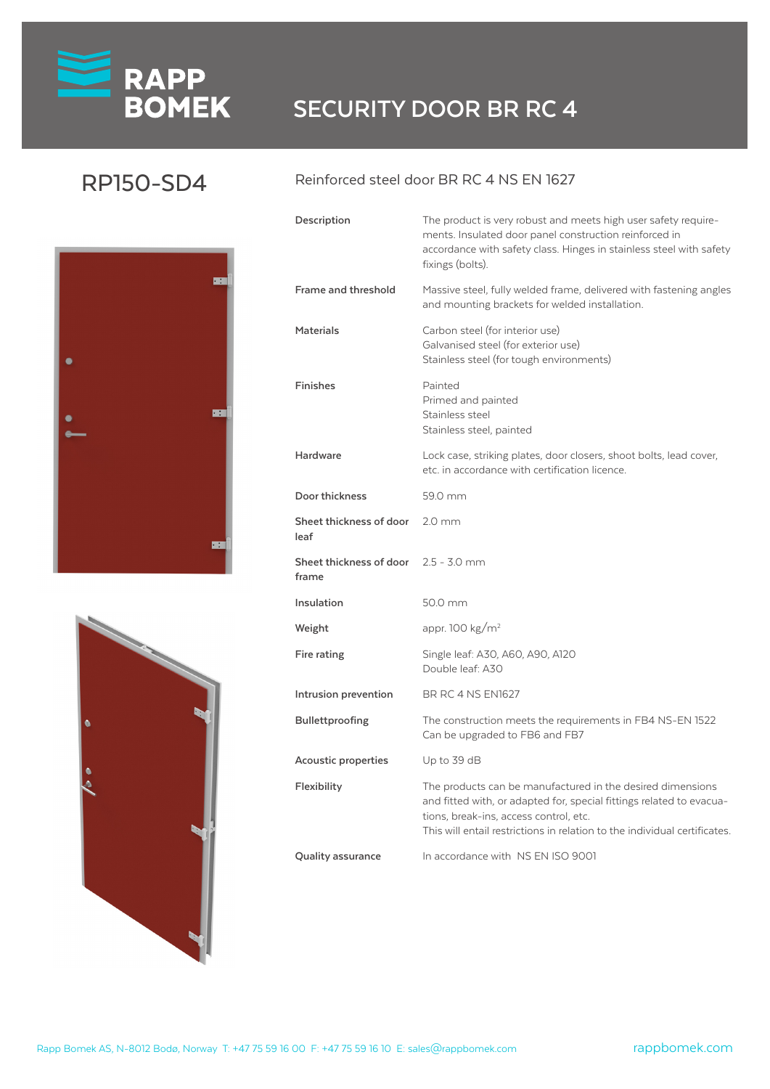# **RAPP**<br>**BOMEK** SECURITY DOOR BR RC 4

### RP150-SD4





#### Reinforced steel door BR RC 4 NS EN 1627

| Description                                          | The product is very robust and meets high user safety require-<br>ments. Insulated door panel construction reinforced in<br>accordance with safety class. Hinges in stainless steel with safety<br>fixings (bolts).                                       |
|------------------------------------------------------|-----------------------------------------------------------------------------------------------------------------------------------------------------------------------------------------------------------------------------------------------------------|
| Frame and threshold                                  | Massive steel, fully welded frame, delivered with fastening angles<br>and mounting brackets for welded installation.                                                                                                                                      |
| <b>Materials</b>                                     | Carbon steel (for interior use)<br>Galvanised steel (for exterior use)<br>Stainless steel (for tough environments)                                                                                                                                        |
| <b>Finishes</b>                                      | Painted<br>Primed and painted<br>Stainless steel<br>Stainless steel, painted                                                                                                                                                                              |
| Hardware                                             | Lock case, striking plates, door closers, shoot bolts, lead cover,<br>etc. in accordance with certification licence.                                                                                                                                      |
| Door thickness                                       | 59.0 mm                                                                                                                                                                                                                                                   |
| Sheet thickness of door<br>leaf                      | $2.0 \text{ mm}$                                                                                                                                                                                                                                          |
| <b>Sheet thickness of door</b> 2.5 - 3.0 mm<br>frame |                                                                                                                                                                                                                                                           |
| Insulation                                           | 50.0 mm                                                                                                                                                                                                                                                   |
| Weight                                               | appr. 100 kg/m <sup>2</sup>                                                                                                                                                                                                                               |
| Fire rating                                          | Single leaf: A30, A60, A90, A120<br>Double leaf: A30                                                                                                                                                                                                      |
| Intrusion prevention                                 | <b>BR RC 4 NS EN1627</b>                                                                                                                                                                                                                                  |
| <b>Bullettproofing</b>                               | The construction meets the requirements in FB4 NS-EN 1522<br>Can be upgraded to FB6 and FB7                                                                                                                                                               |
| Acoustic properties                                  | Up to 39 dB                                                                                                                                                                                                                                               |
| Flexibility                                          | The products can be manufactured in the desired dimensions<br>and fitted with, or adapted for, special fittings related to evacua-<br>tions, break-ins, access control, etc.<br>This will entail restrictions in relation to the individual certificates. |
| <b>Quality assurance</b>                             | In accordance with NS EN ISO 9001                                                                                                                                                                                                                         |